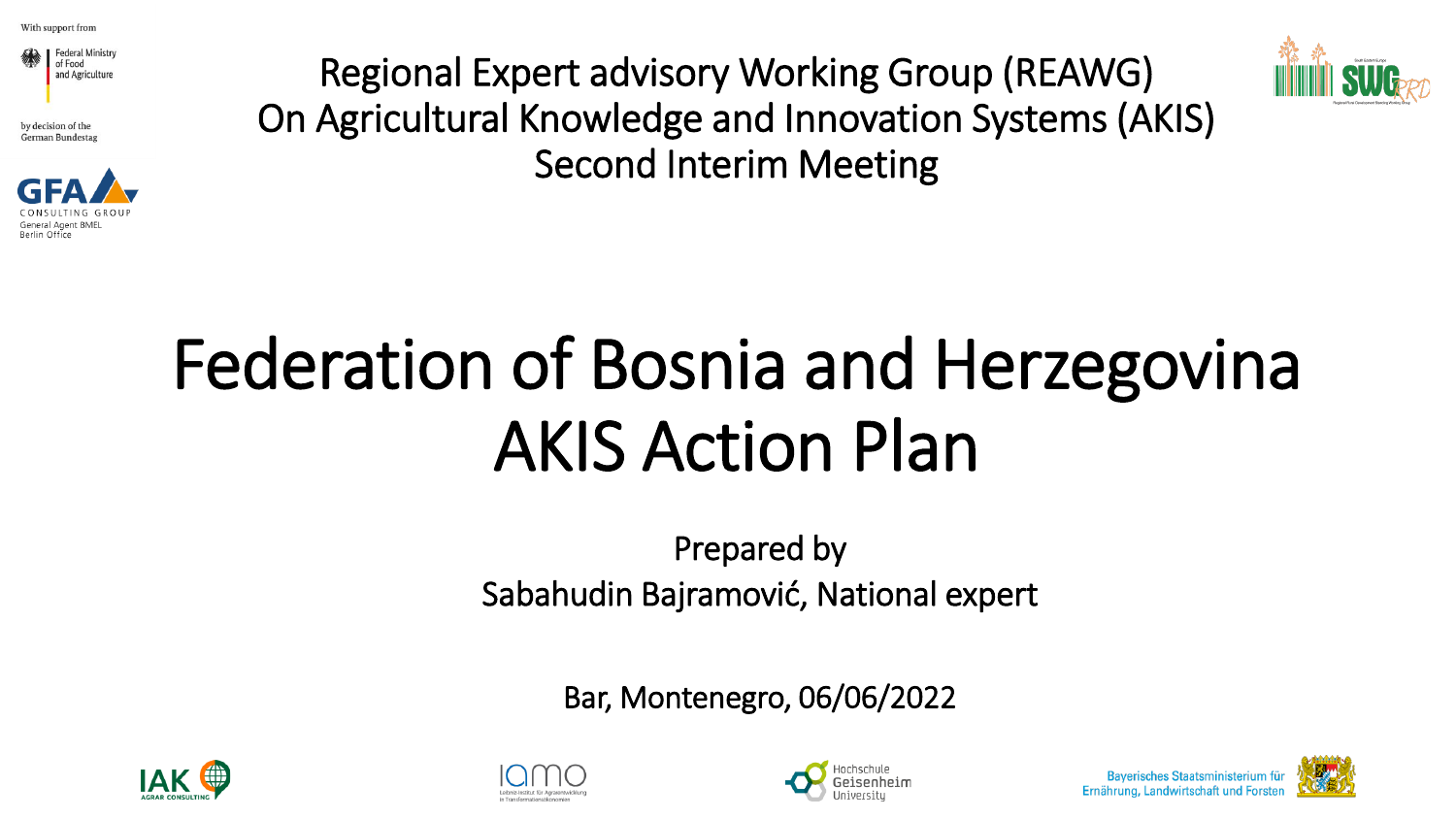

by decision of the **German Bundestag** 



Regional Expert advisory Working Group (REAWG) On Agricultural Knowledge and Innovation Systems (AKIS) Second Interim Meeting



## Federation of Bosnia and Herzegovina AKIS Action Plan

Prepared by Sabahudin Bajramović, National expert

Bar, Montenegro, 06/06/2022









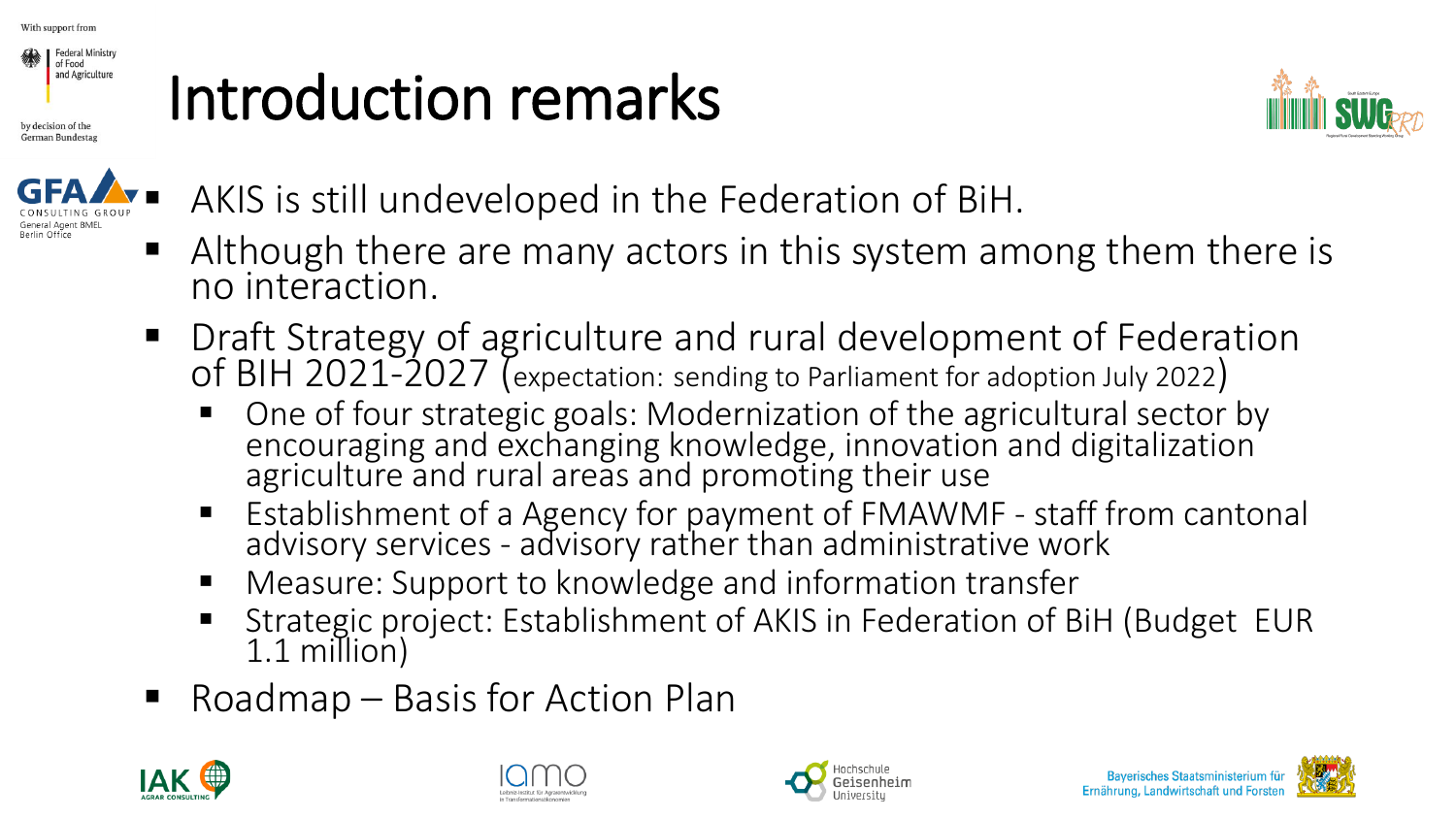

by decision of the German Bundestag

## Introduction remarks





AKIS is still undeveloped in the Federation of BiH.

- Although there are many actors in this system among them there is no interaction.
- Draft Strategy of agriculture and rural development of Federation of BIH 2021-2027 (expectation: sending to Parliament for adoption July 2022)
	- One of four strategic goals: Modernization of the agricultural sector by encouraging and exchanging knowledge, innovation and digitalization agriculture and rural areas and promoting their use
	- Establishment of a Agency for payment of FMAWMF staff from cantonal advisory services - advisory rather than administrative work
	- Measure: Support to knowledge and information transfer
	- Strategic project: Establishment of AKIS in Federation of BiH (Budget EUR 1.1 million)
- $\blacksquare$  Roadmap Basis for Action Plan







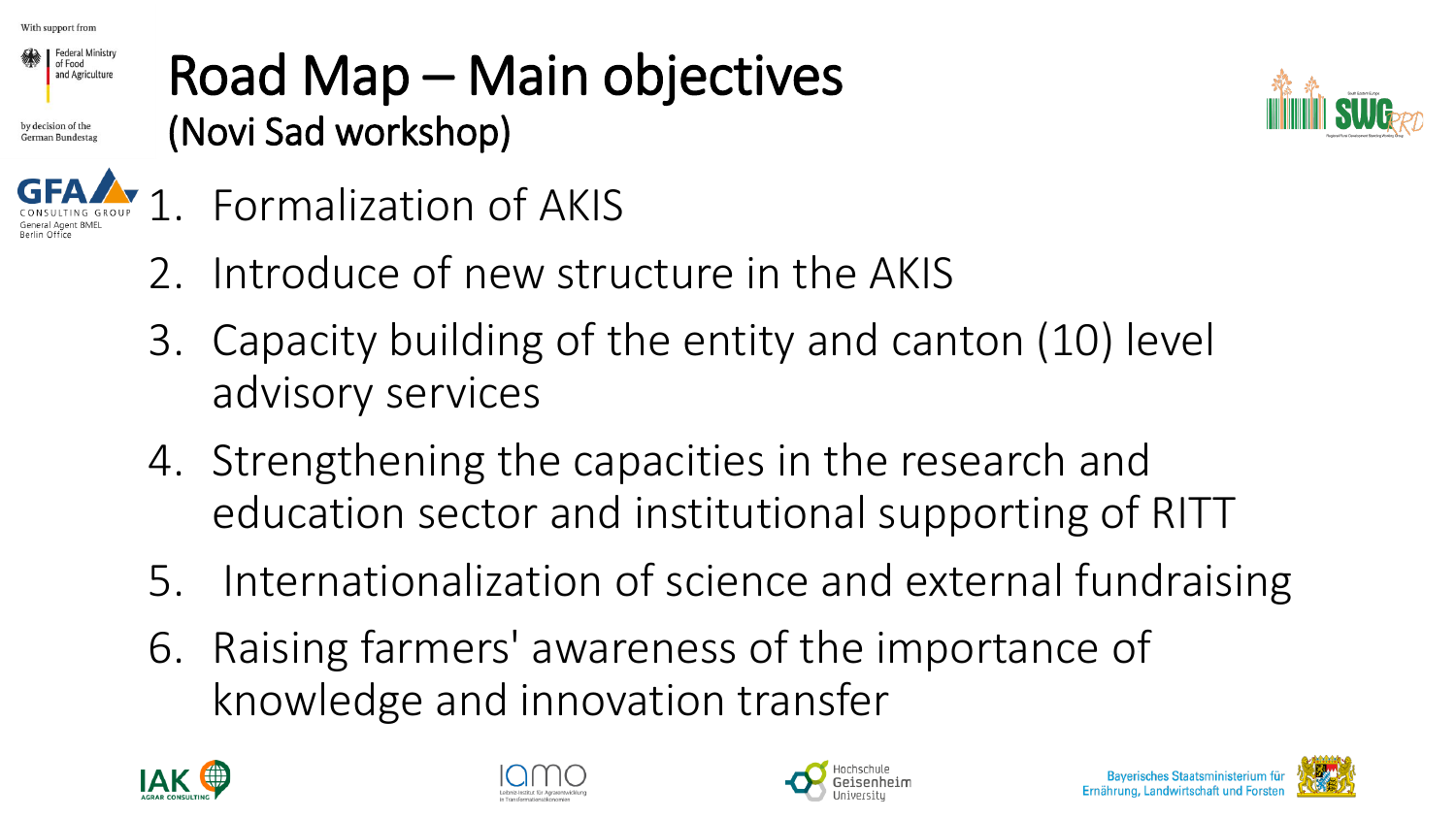

by decision of the



### Road Map – Main objectives (Novi Sad workshop)



- 1. Formalization of AKIS
- 2. Introduce of new structure in the AKIS
- 3. Capacity building of the entity and canton (10) level advisory services
- 4. Strengthening the capacities in the research and education sector and institutional supporting of RITT
- 5. Internationalization of science and external fundraising
- 6. Raising farmers' awareness of the importance of knowledge and innovation transfer







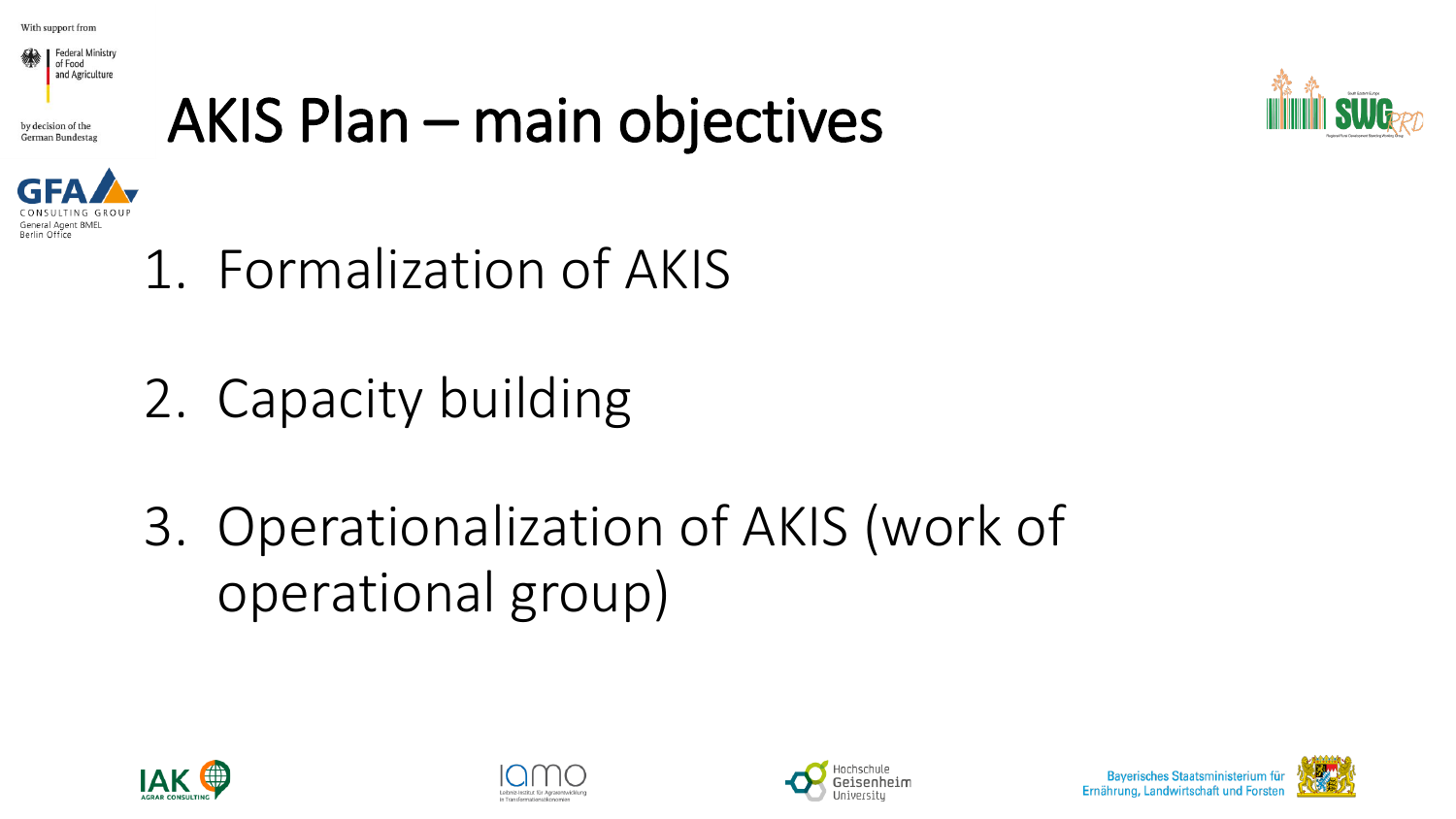

German Bundesta

## AKIS Plan – main objectives





- 1. Formalization of AKIS
- 2. Capacity building
- 3. Operationalization of AKIS (work of operational group)







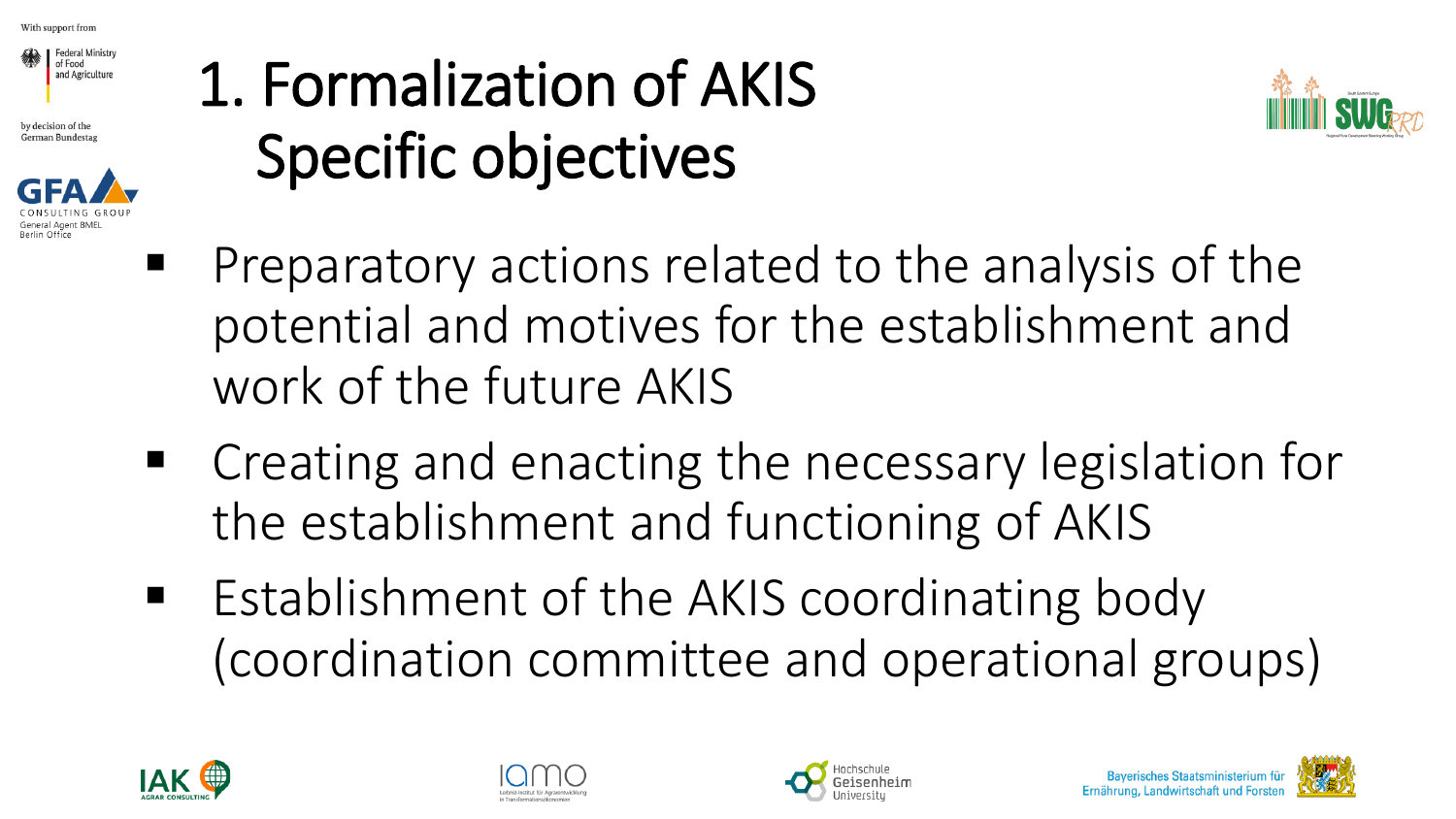

by decision of the **German Bundestag** 



## 1. Formalization of AKIS Specific objectives



- Preparatory actions related to the analysis of the potential and motives for the establishment and work of the future AKIS
- Creating and enacting the necessary legislation for the establishment and functioning of AKIS
- Establishment of the AKIS coordinating body (coordination committee and operational groups)







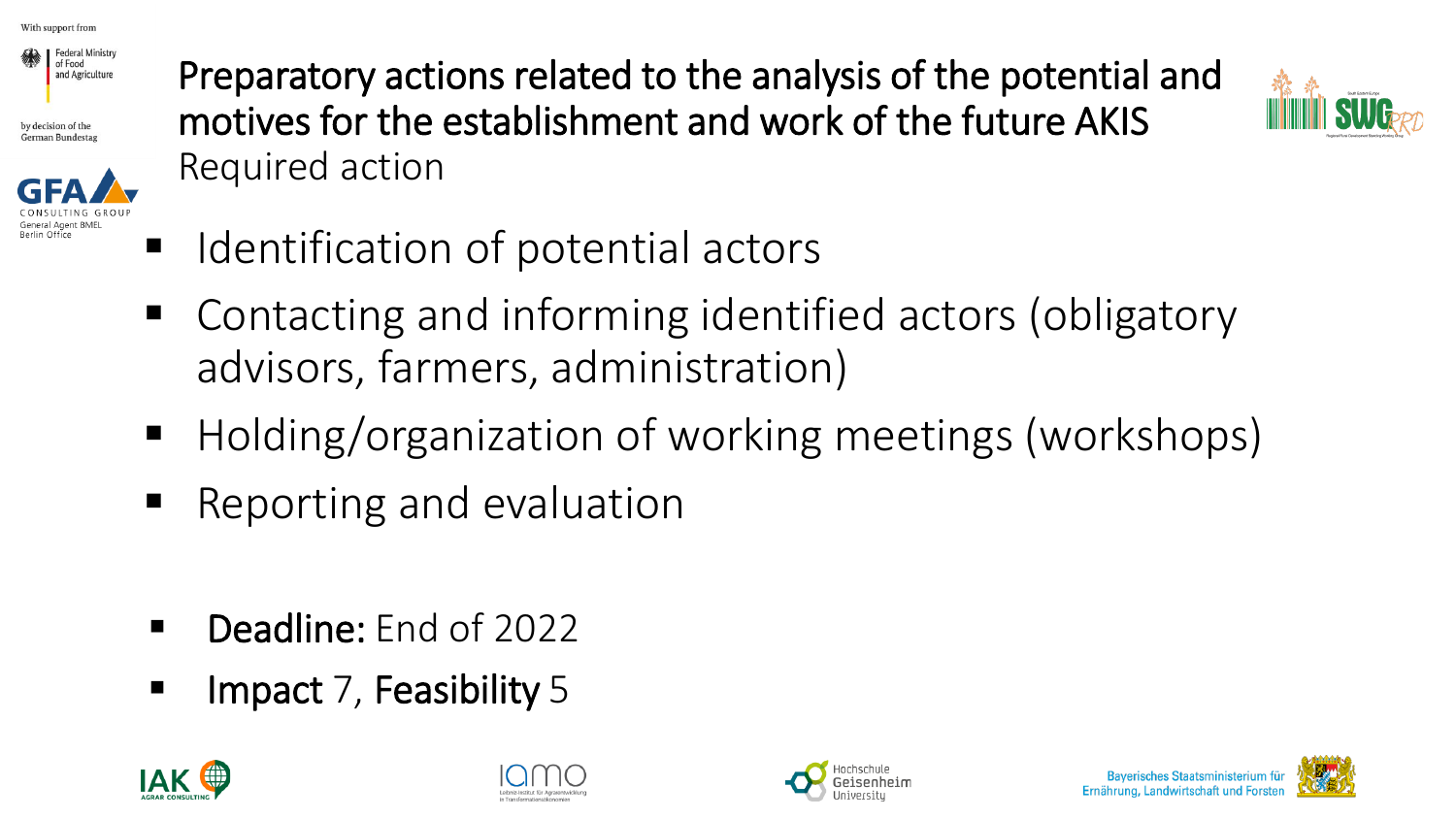

by decision of the German Bundestas



Preparatory actions related to the analysis of the potential and motives for the establishment and work of the future AKIS Required action



- Identification of potential actors
- Contacting and informing identified actors (obligatory advisors, farmers, administration)
- Holding/organization of working meetings (workshops)
- Reporting and evaluation
- Deadline: End of 2022
- **E** Impact 7, Feasibility 5







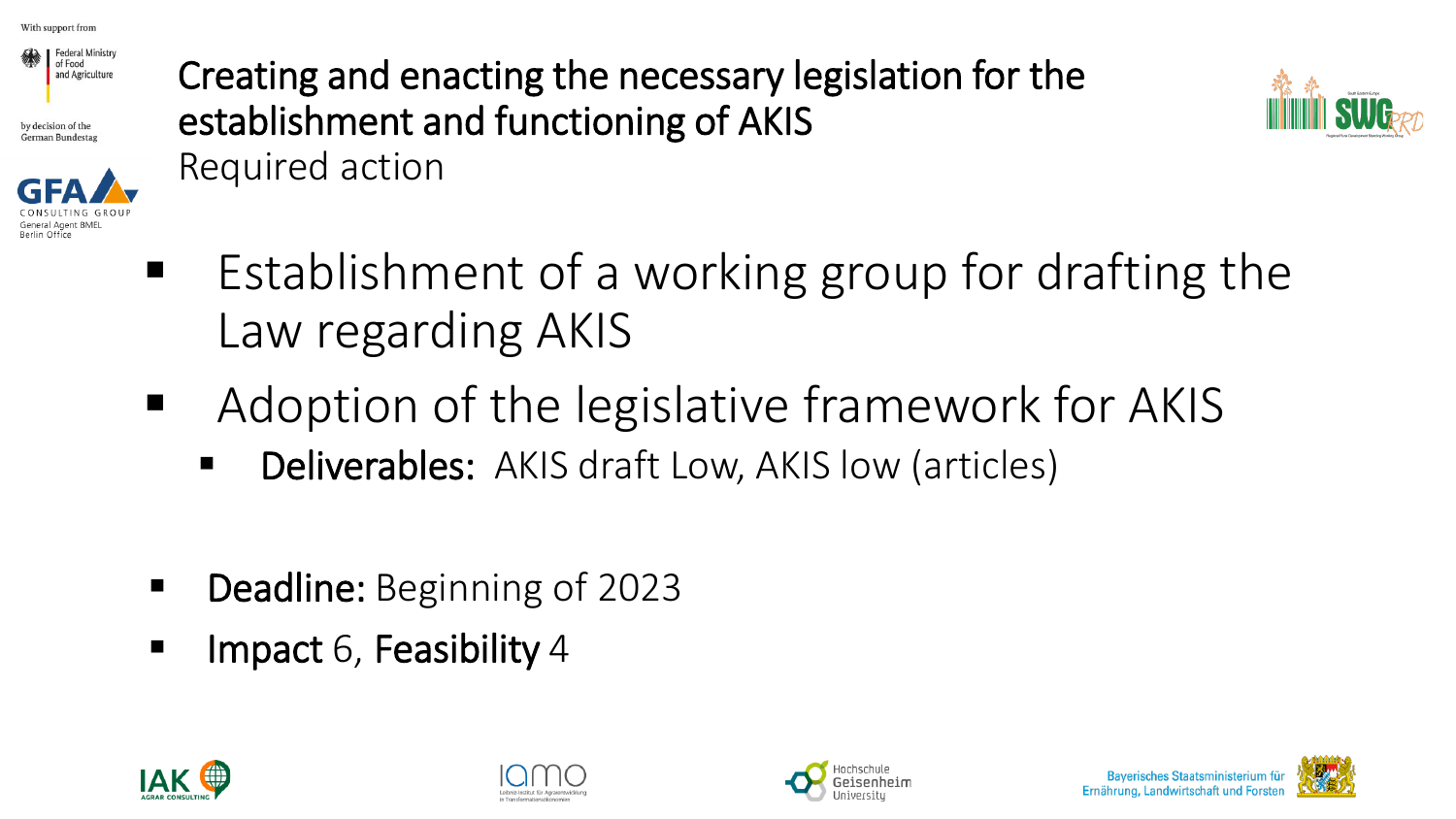

by decision of the German Bundestas



Creating and enacting the necessary legislation for the establishment and functioning of AKIS Required action



- Establishment of a working group for drafting the Law regarding AKIS
- Adoption of the legislative framework for AKIS
	- **Deliverables:** AKIS draft Low, AKIS low (articles)
- Deadline: Beginning of 2023
- Impact 6, Feasibility 4







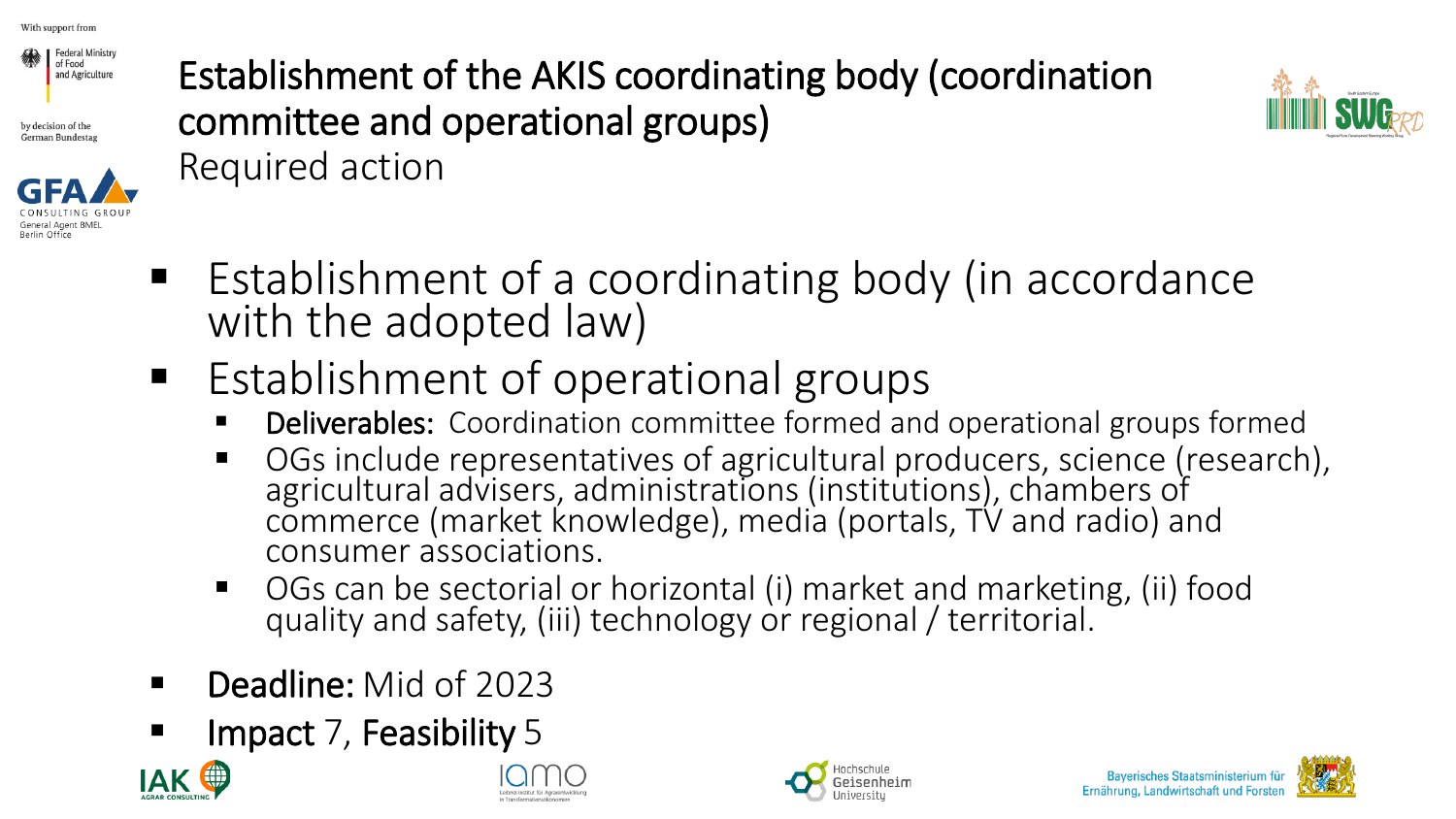

by decision of the German Bundestag



Establishment of the AKIS coordinating body (coordination committee and operational groups) Required action



- Establishment of a coordinating body (in accordance with the adopted law)
- Establishment of operational groups
	- **Deliverables:** Coordination committee formed and operational groups formed
	- OGs include representatives of agricultural producers, science (research), agricultural advisers, administrations (institutions), chambers of commerce (market knowledge), media (portals, TV and radio) and consumer associations.
	- OGs can be sectorial or horizontal (i) market and marketing, (ii) food quality and safety, (iii) technology or regional / territorial.
- Deadline: Mid of 2023
- Impact 7, Feasibility 5







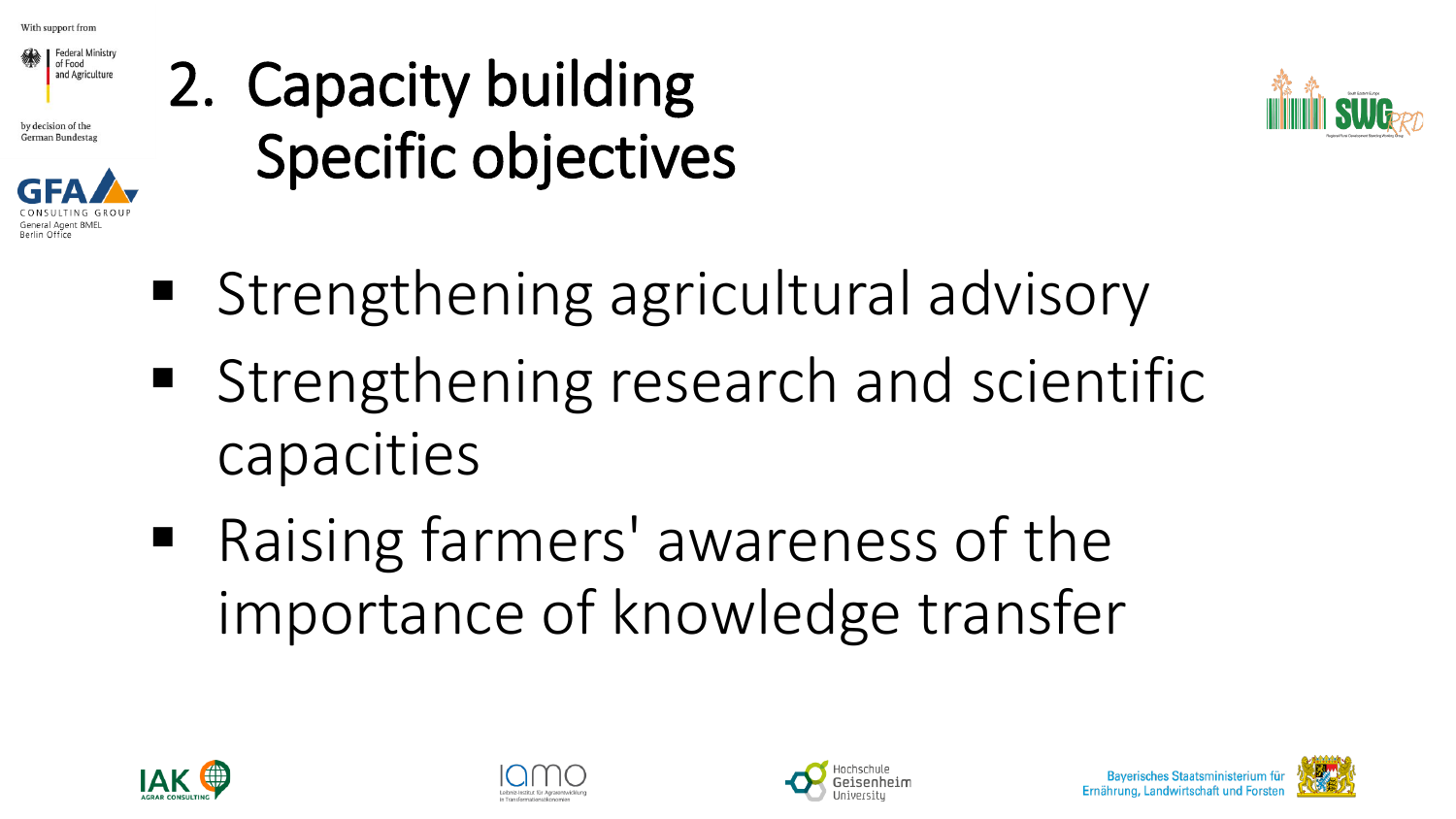

by decision of the German Bundestag



## 2. Capacity building Specific objectives



- Strengthening agricultural advisory
- Strengthening research and scientific capacities
- Raising farmers' awareness of the importance of knowledge transfer







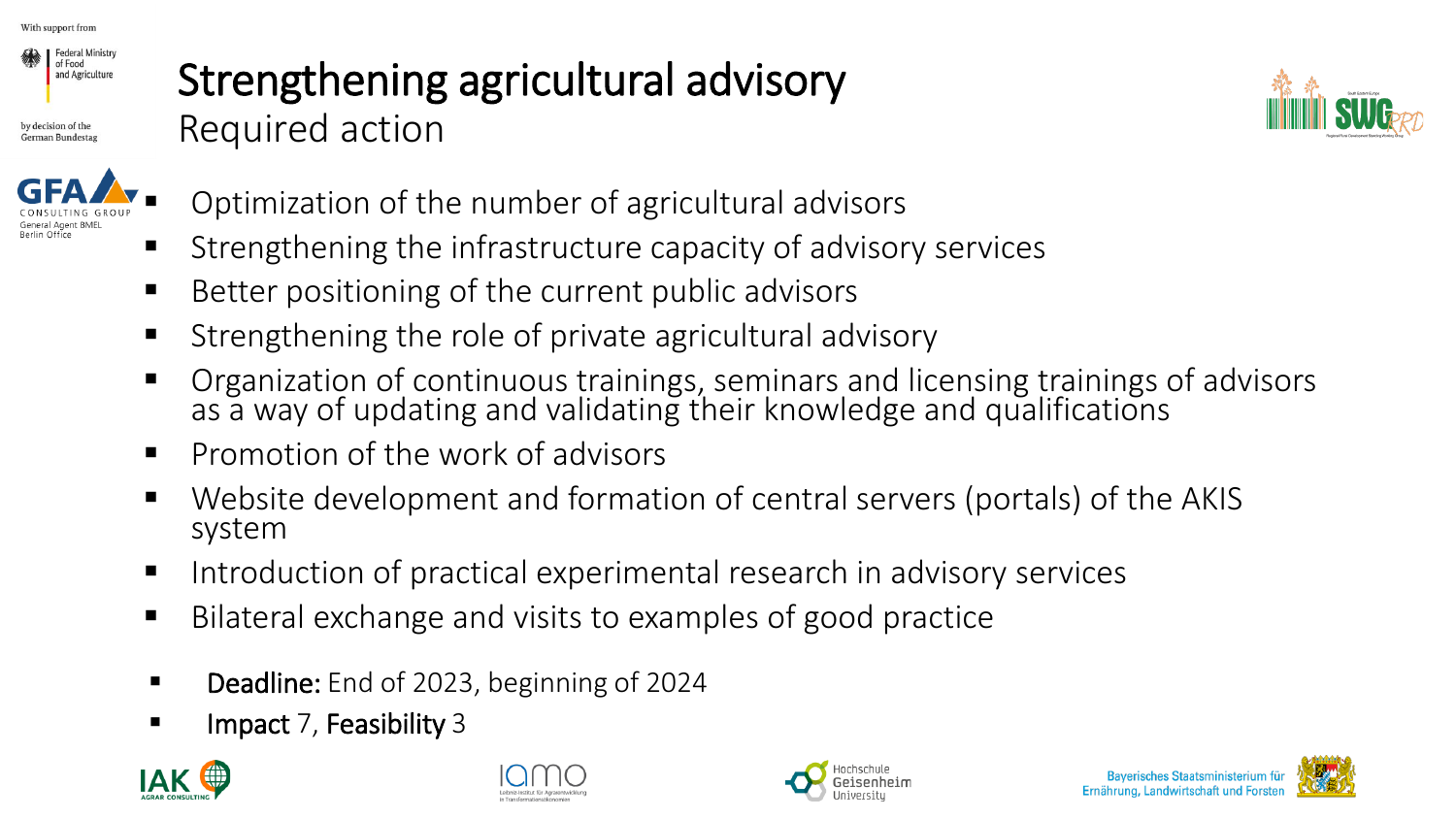

by decision of the German Bundestag

#### Strengthening agricultural advisory Required action





- Optimization of the number of agricultural advisors
- Strengthening the infrastructure capacity of advisory services
- Better positioning of the current public advisors
- Strengthening the role of private agricultural advisory
- Organization of continuous trainings, seminars and licensing trainings of advisors as a way of updating and validating their knowledge and qualifications
- Promotion of the work of advisors
- Website development and formation of central servers (portals) of the AKIS system
- Introduction of practical experimental research in advisory services
- Bilateral exchange and visits to examples of good practice
- Deadline: End of 2023, beginning of 2024
- Impact 7, Feasibility 3







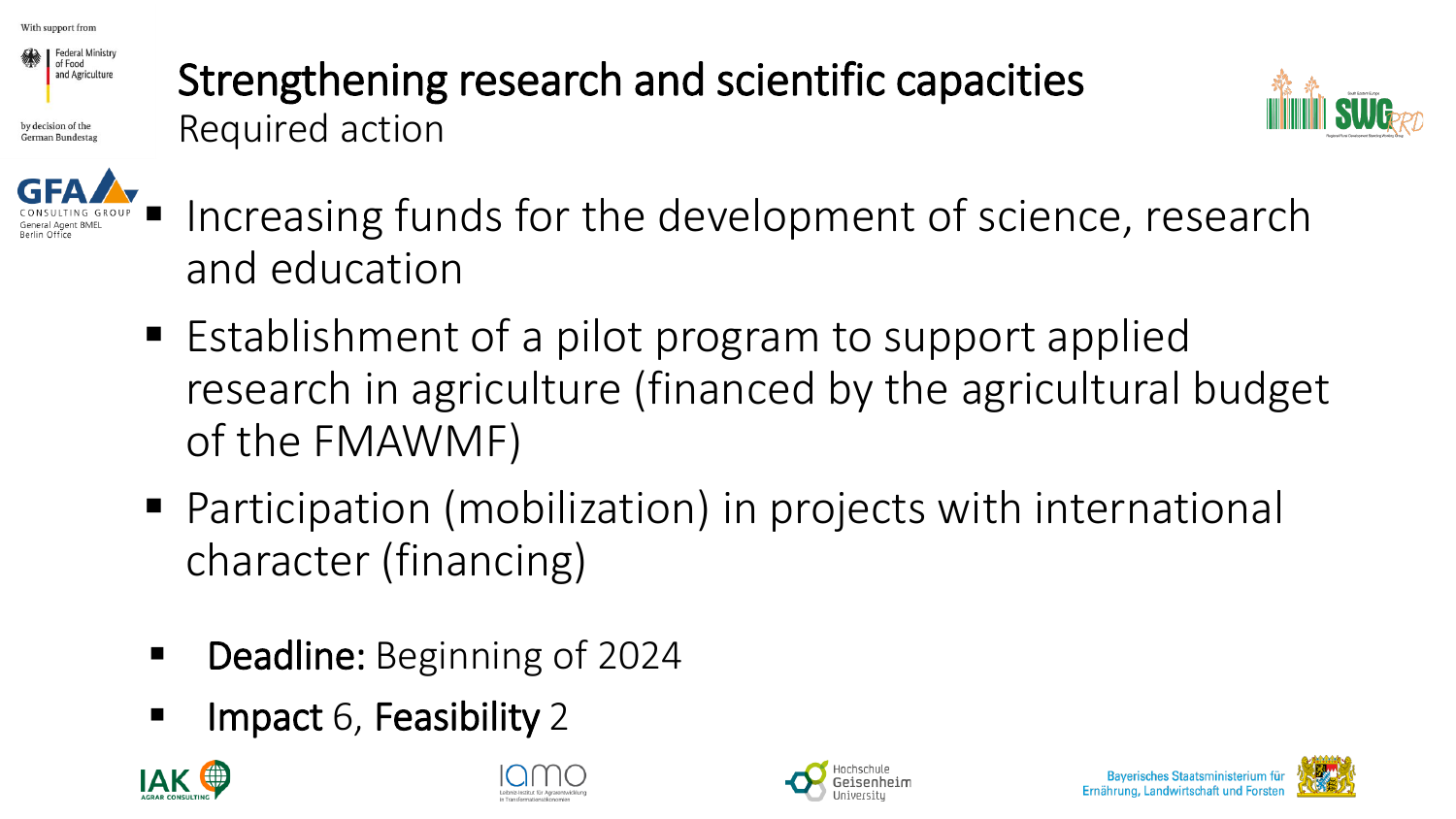

by decision of the

#### Strengthening research and scientific capacities Required action





- Increasing funds for the development of science, research and education
- Establishment of a pilot program to support applied research in agriculture (financed by the agricultural budget of the FMAWMF)
- Participation (mobilization) in projects with international character (financing)
- Deadline: Beginning of 2024
- Impact 6, Feasibility 2







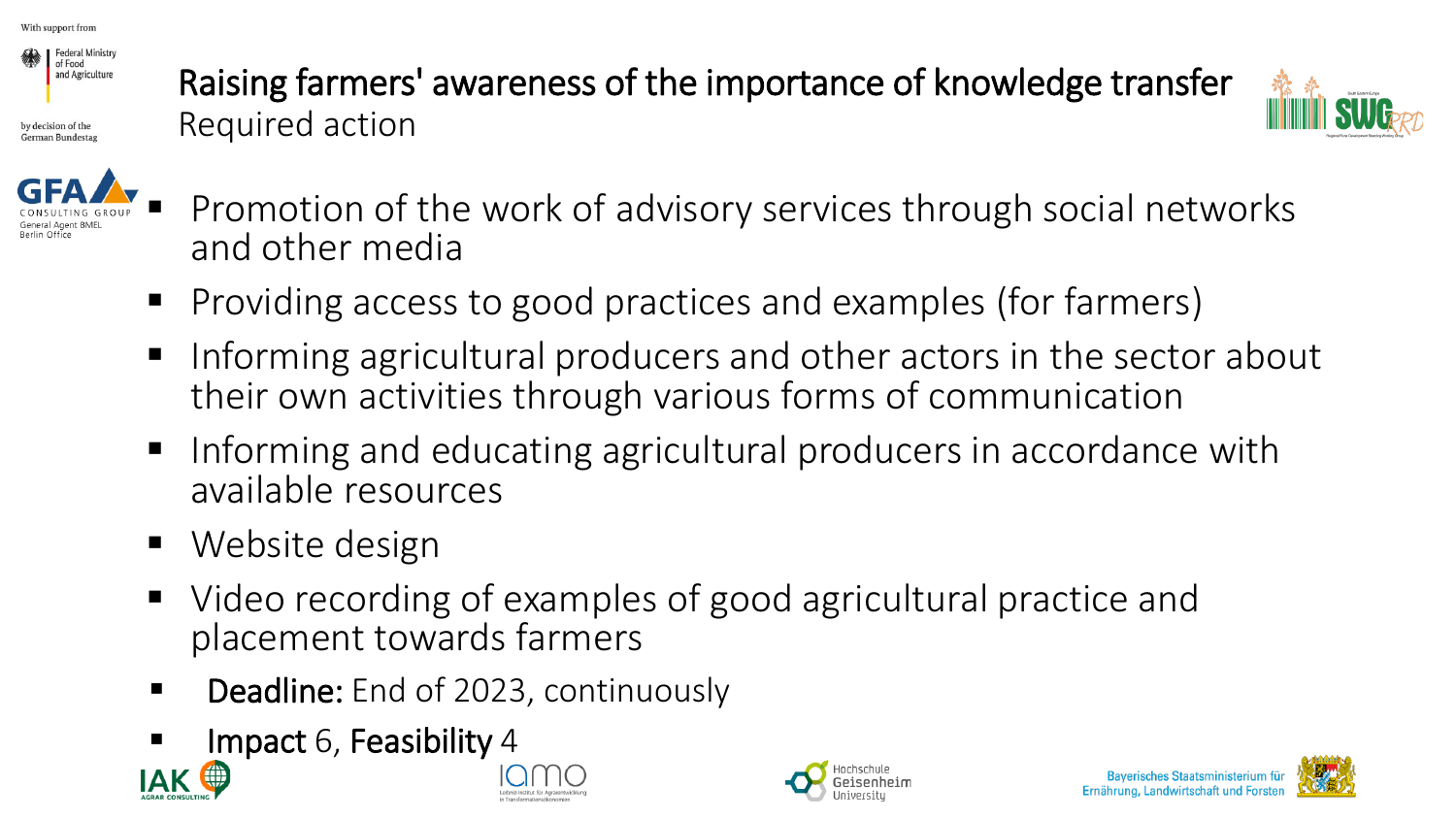

by decision of the German Bundesta Raising farmers' awareness of the importance of knowledge transfer Required action





- Promotion of the work of advisory services through social networks and other media
- Providing access to good practices and examples (for farmers)
- Informing agricultural producers and other actors in the sector about their own activities through various forms of communication
- Informing and educating agricultural producers in accordance with available resources
- Website design
- Video recording of examples of good agricultural practice and placement towards farmers
- Deadline: End of 2023, continuously
- Impact 6, Feasibility 4









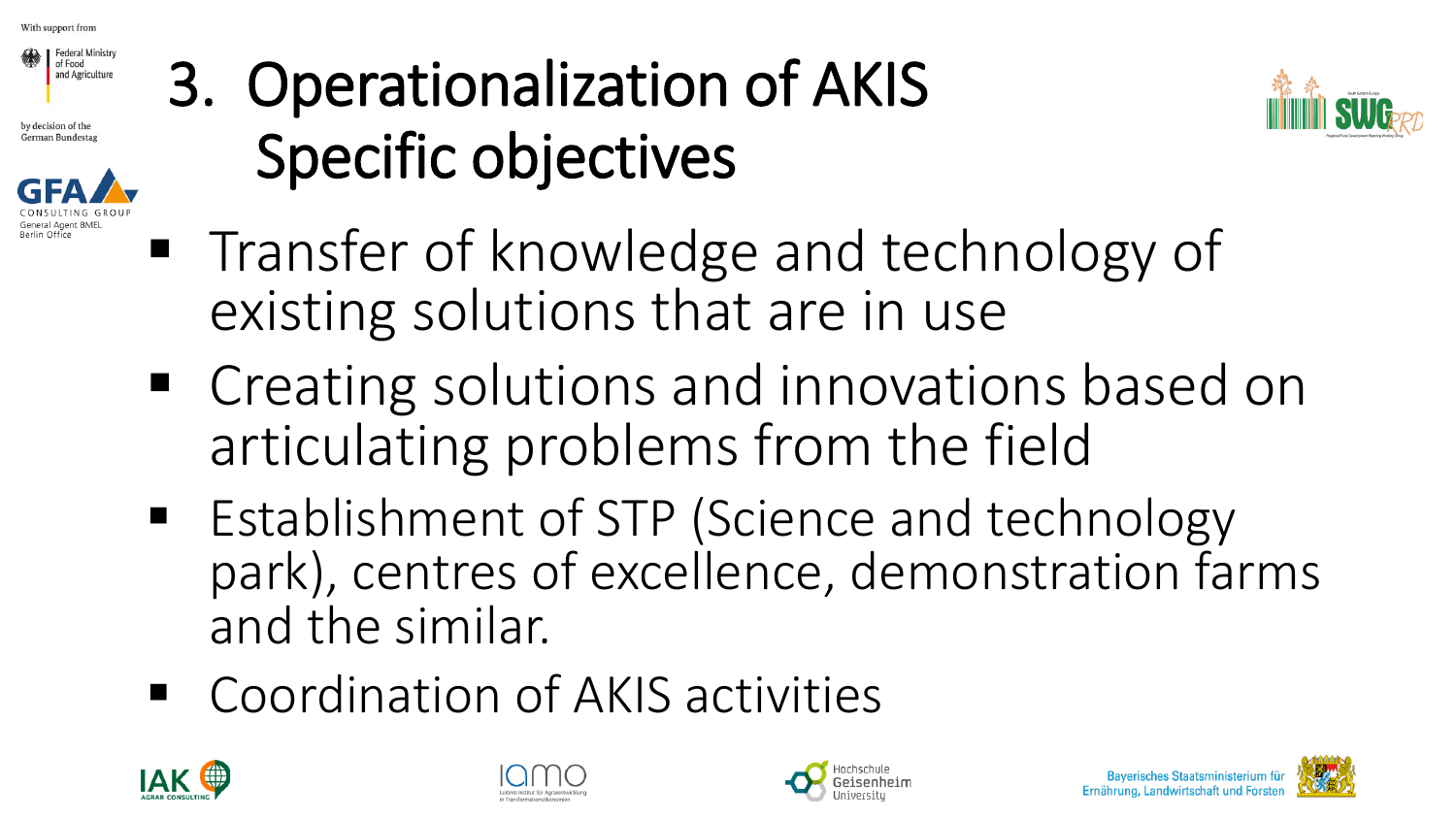

by decision of the **German Bundestas** 



## 3. Operationalization of AKIS Specific objectives



- Transfer of knowledge and technology of existing solutions that are in use
- Creating solutions and innovations based on articulating problems from the field
- Establishment of STP (Science and technology park), centres of excellence, demonstration farms and the similar.
- Coordination of AKIS activities







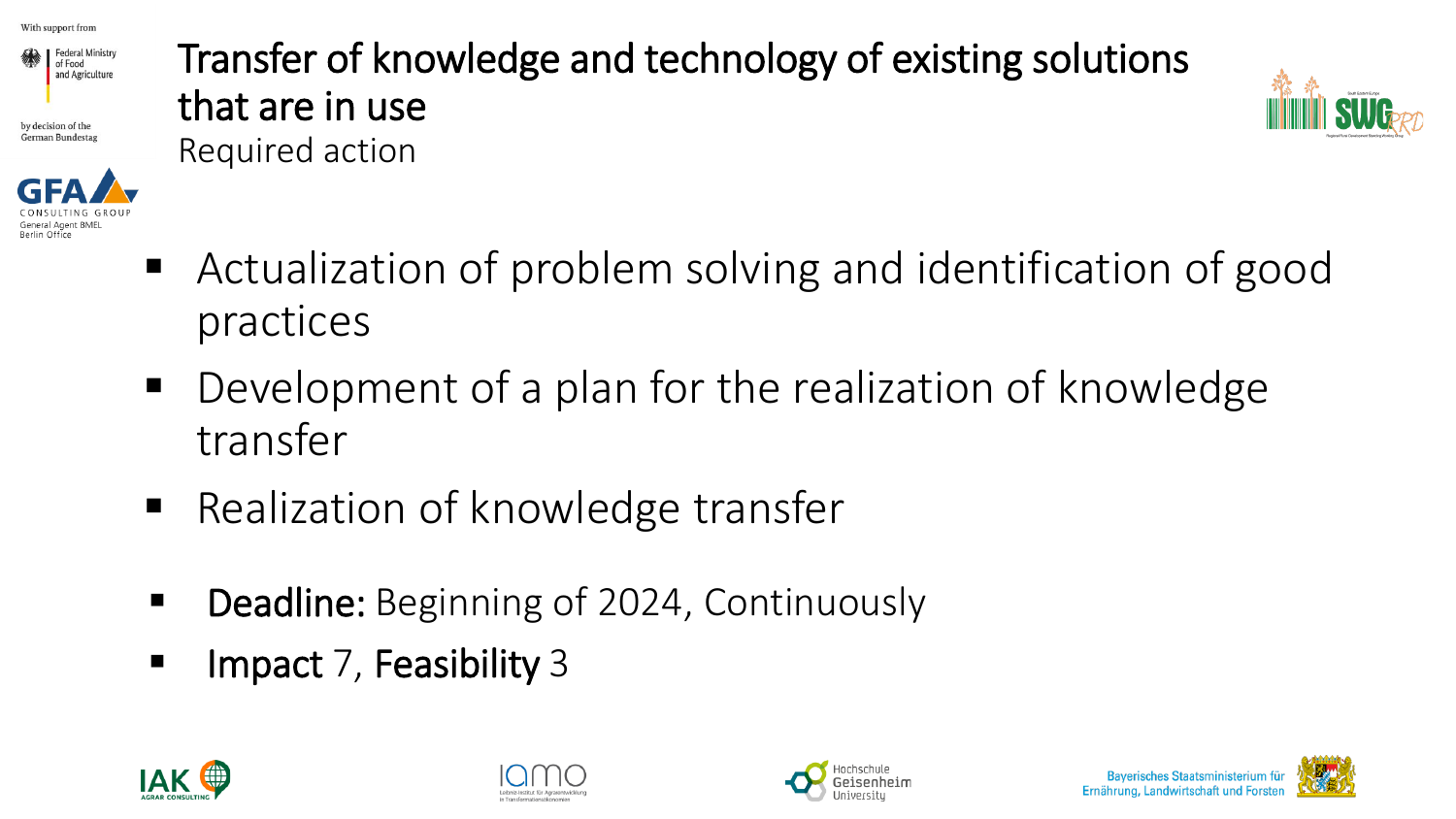

by decision of the German Bundesta



#### Transfer of knowledge and technology of existing solutions that are in use Required action



- Actualization of problem solving and identification of good practices
- Development of a plan for the realization of knowledge transfer
- Realization of knowledge transfer
- Deadline: Beginning of 2024, Continuously
- Impact 7, Feasibility 3







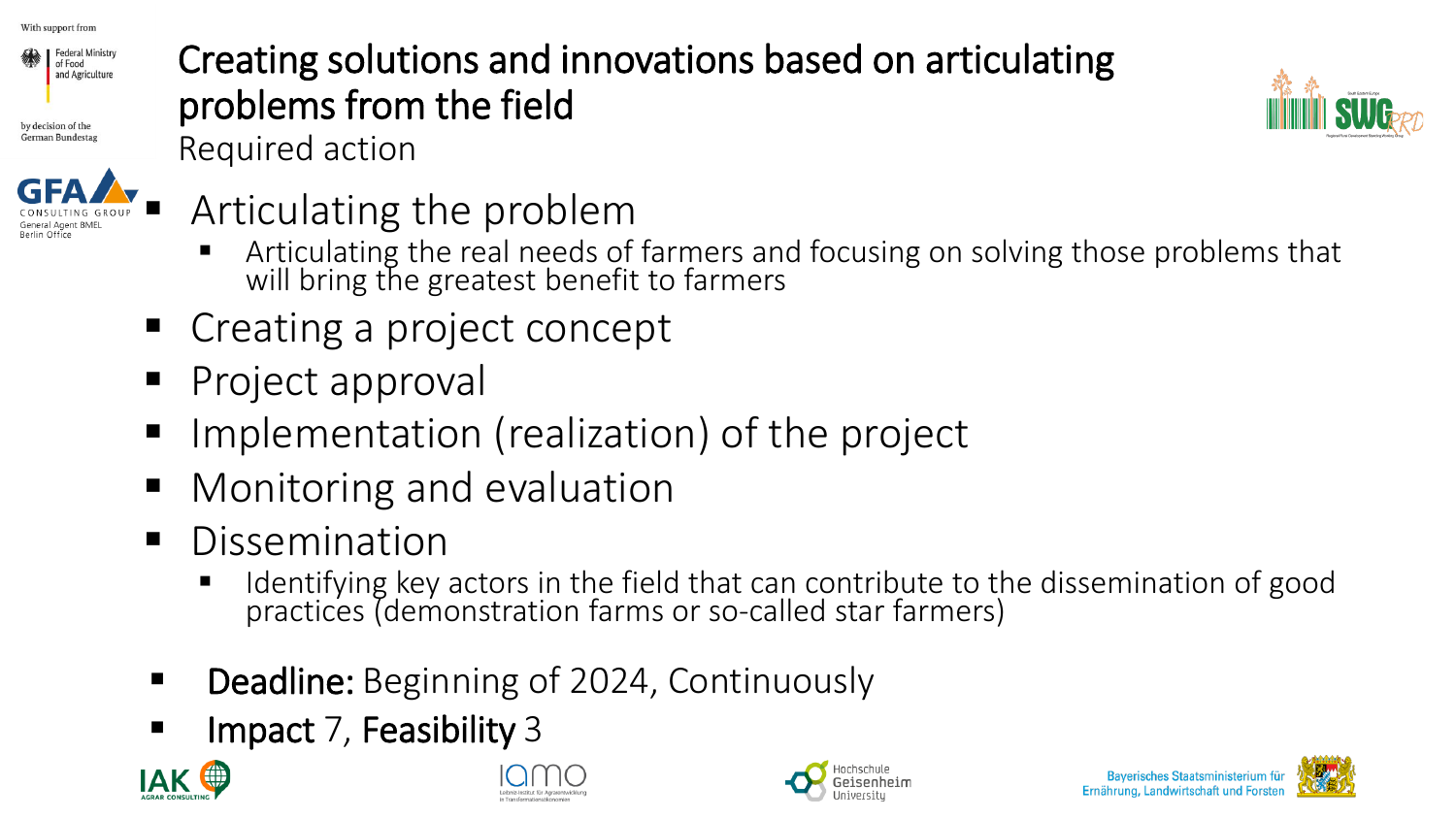

by decision of the German Bundestas



#### Creating solutions and innovations based on articulating problems from the field Required action



Articulating the problem

- **EXT** Articulating the real needs of farmers and focusing on solving those problems that will bring the greatest benefit to farmers
- Creating a project concept
- **Project approval**
- Implementation (realization) of the project
- Monitoring and evaluation
- Dissemination
	- Identifying key actors in the field that can contribute to the dissemination of good practices (demonstration farms or so-called star farmers)
- **Deadline:** Beginning of 2024, Continuously
- Impact 7, Feasibility 3









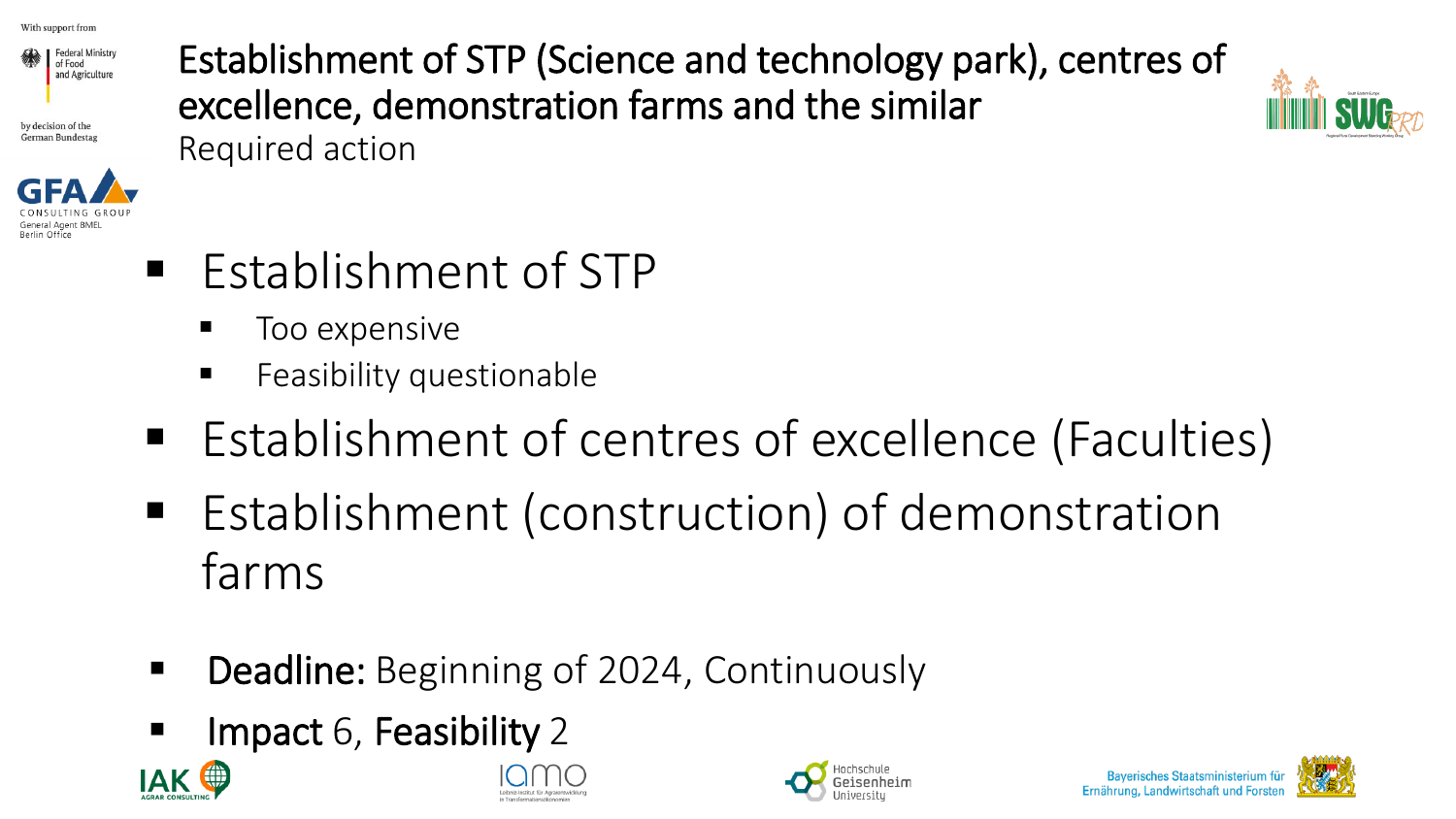

by decision of the German Bundestas



Establishment of STP (Science and technology park), centres of excellence, demonstration farms and the similar Required action



- Establishment of STP
	- Too expensive
	- Feasibility questionable
- Establishment of centres of excellence (Faculties)
- Establishment (construction) of demonstration farms
- **Deadline:** Beginning of 2024, Continuously
- **EXECUTE:** Impact 6, Feasibility 2









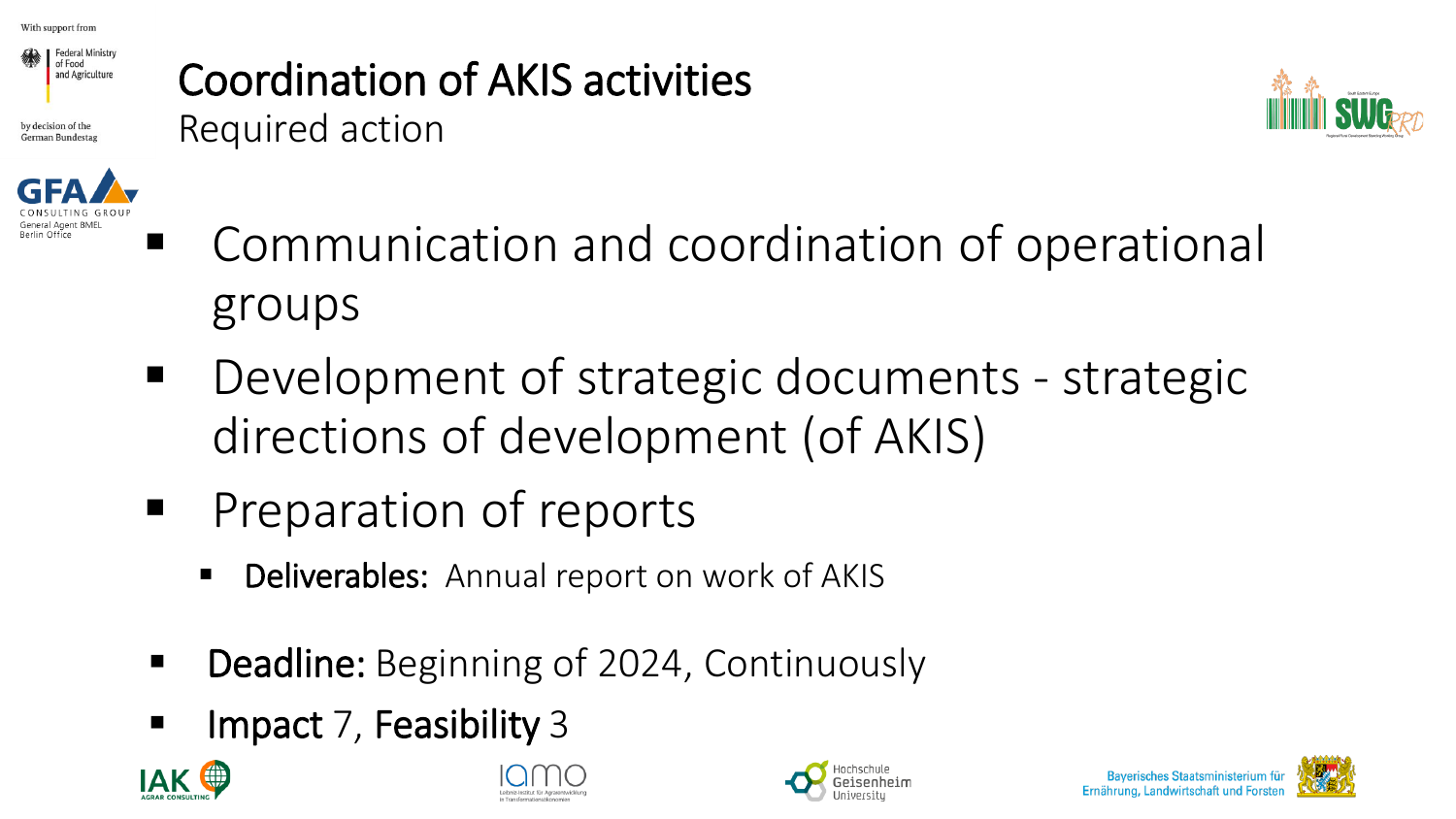

by decision of the German Bundesta

Berlin Office



Coordination of AKIS activities





- Development of strategic documents strategic directions of development (of AKIS)
- Preparation of reports
	- **Deliverables:** Annual report on work of AKIS
- Deadline: Beginning of 2024, Continuously
- Impact 7, Feasibility 3